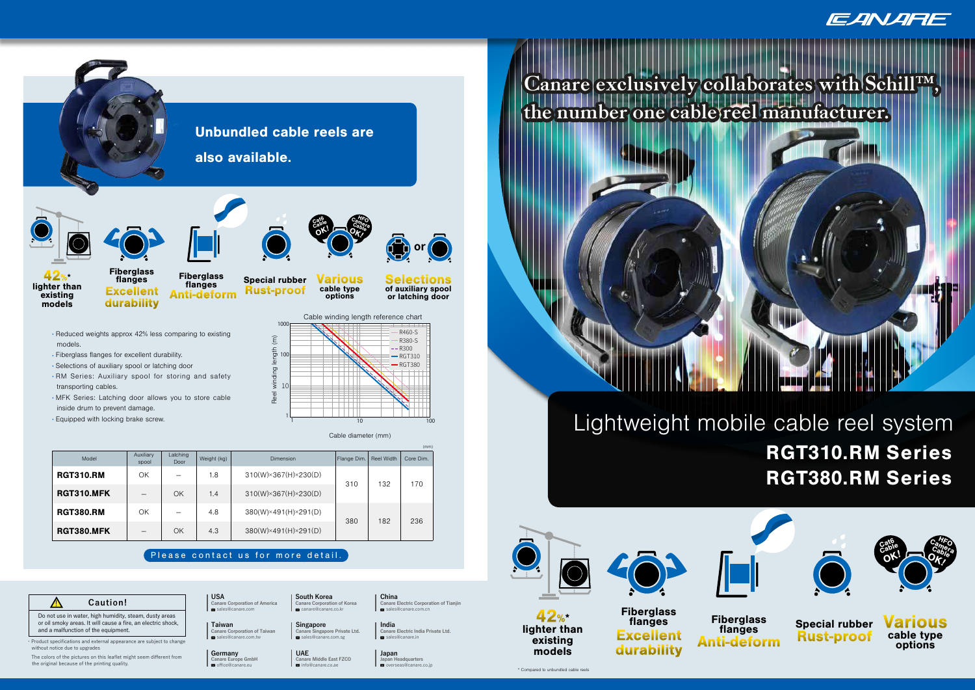









## Please contact us for more detail.

Canare Europe GmbH

### **A** Caution!

- Selections of auxiliary spool or latching door
- . RM Series: Auxiliary spool for storing and safety transporting cables.
- MFK Series: Latching door allows you to store cable inside drum to prevent damage.
- ▯ Equipped with locking brake screw.



▯ Fiberglass flanges for excellent durability.

The colors of the pictures on this leaflet might seem different from **Germany Germany JAPAC JAPAC JAPAC Lapan** Here Colors of the pictures on this leaflet might seem different from **Congre** Funne GmbH the original because of the printing quality.

**Canare Electric Corporation of Tianjin** sales@canare.com.cn

**USA China South Korea China China China Canare** Corporation of America **Canare** Comporation of Korea **Canare** I **CON**<br>**Canare Corporation of America** canare@canare.co.kr

**Taiwan I** Singapore **I** India **Canare Corporation of Taiwan**<br>■ sales@canare.com.tw **Canare Singapore Private Ltd.** sales@canare.com.sg **sales@canare.in** 

Do not use in water, high humidity, steam, dusty areas or oil smoky areas. It will cause a fire, an electric shock, and a malfunction of the equipment.

・Product specifications and external appearance are subject to change without notice due to upgrades

**Fiberglass** flanges Excellent durability

**Selections** of auxiliary spool or latching door

**f** or

|                   |                          |                          |             |                                      |             |                   | (mm)      |
|-------------------|--------------------------|--------------------------|-------------|--------------------------------------|-------------|-------------------|-----------|
| Model             | Auxiliary<br>spool       | Latching<br>Door         | Weight (kg) | Dimension                            | Flange Dim. | <b>Reel Width</b> | Core Dim. |
| <b>RGT310.RM</b>  | ΟK                       |                          | 1.8         | $310(W)\times 367(H)\times 230(D)$   | 310         | 132               | 170       |
| <b>RGT310.MFK</b> |                          | OK                       | 1.4         | $310(W)\times 367(H)\times 230(D)$   |             |                   |           |
| <b>RGT380.RM</b>  | ΟK                       | $\overline{\phantom{0}}$ | 4.8         | 380(W)×491(H)×291(D)                 |             |                   |           |
| <b>RGT380.MFK</b> | $\overline{\phantom{0}}$ | OK                       | 4.3         | $380(W) \times 491(H) \times 291(D)$ | 380         | 182               | 236       |

**Canare Electric India Private Ltd.**

**Supuni**<br>Japan Headquarters<br>⊠ overseas@canare.co.jp

**Canare Middle East FZCO Canare Europe GmbH Japan Headquarters** info@canare.co.ae



#### Cable diameter (mm)

Fiberglass flanges Anti-deform





Various cable type options

# Lightweight mobile cable reel system RGT310.RM Series RGT380.RM Series



 $42$ %\*<br>lighter than

## **Canare exclusively collaborates with Schill™, the number one cable reel manufacturer.**





EANARE

existing models



Fiberglass flanges Excellent durability

Special rubber Rust-proof

\* Compared to unbundled cable reels





Cat6

Cable Camera

 $\overline{\mathsf{o}}$ K!

Camera<br>Camera Cable<br>Dr. <sup>06</sup>

Fiberglass flanges Anti-deform



**Various** cable type options